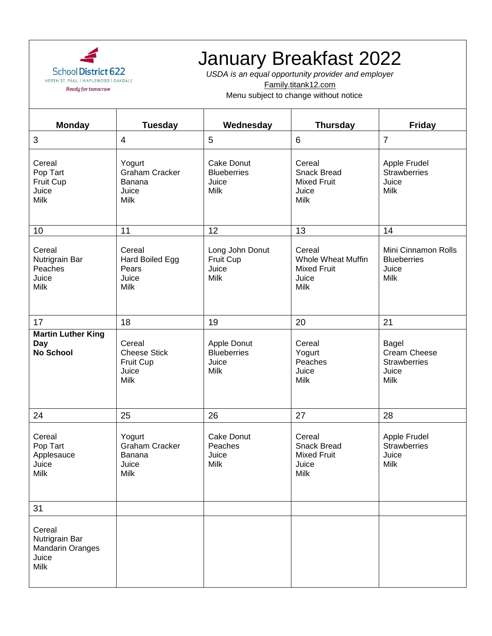

## January Breakfast 2022

*USDA is an equal opportunity provider and employer* Family.titank12.com

Menu subject to change without notice

| <b>Monday</b>                                                        | <b>Tuesday</b>                                              | Wednesday                                                       | <b>Thursday</b>                                                                   | <b>Friday</b>                                                        |
|----------------------------------------------------------------------|-------------------------------------------------------------|-----------------------------------------------------------------|-----------------------------------------------------------------------------------|----------------------------------------------------------------------|
| 3                                                                    | 4                                                           | 5                                                               | 6                                                                                 | $\overline{7}$                                                       |
| Cereal<br>Pop Tart<br>Fruit Cup<br>Juice<br>Milk                     | Yogurt<br><b>Graham Cracker</b><br>Banana<br>Juice<br>Milk  | <b>Cake Donut</b><br><b>Blueberries</b><br>Juice<br><b>Milk</b> | Cereal<br><b>Snack Bread</b><br><b>Mixed Fruit</b><br>Juice<br><b>Milk</b>        | Apple Frudel<br><b>Strawberries</b><br>Juice<br><b>Milk</b>          |
| 10                                                                   | 11                                                          | 12                                                              | 13                                                                                | 14                                                                   |
| Cereal<br>Nutrigrain Bar<br>Peaches<br>Juice<br><b>Milk</b>          | Cereal<br>Hard Boiled Egg<br>Pears<br>Juice<br>Milk         | Long John Donut<br>Fruit Cup<br>Juice<br><b>Milk</b>            | Cereal<br><b>Whole Wheat Muffin</b><br><b>Mixed Fruit</b><br>Juice<br><b>Milk</b> | Mini Cinnamon Rolls<br><b>Blueberries</b><br>Juice<br><b>Milk</b>    |
| 17                                                                   | 18                                                          | 19                                                              | 20                                                                                | 21                                                                   |
| <b>Martin Luther King</b><br>Day<br><b>No School</b>                 | Cereal<br><b>Cheese Stick</b><br>Fruit Cup<br>Juice<br>Milk | Apple Donut<br><b>Blueberries</b><br>Juice<br>Milk              | Cereal<br>Yogurt<br>Peaches<br>Juice<br><b>Milk</b>                               | Bagel<br>Cream Cheese<br><b>Strawberries</b><br>Juice<br><b>Milk</b> |
| 24                                                                   | 25                                                          | 26                                                              | 27                                                                                | 28                                                                   |
| Cereal<br>Pop Tart<br>Applesauce<br>Juice<br>Milk                    | Yogurt<br><b>Graham Cracker</b><br>Banana<br>Juice<br>Milk  | <b>Cake Donut</b><br>Peaches<br>Juice<br><b>Milk</b>            | Cereal<br><b>Snack Bread</b><br><b>Mixed Fruit</b><br>Juice<br>Milk               | Apple Frudel<br><b>Strawberries</b><br>Juice<br><b>Milk</b>          |
| 31                                                                   |                                                             |                                                                 |                                                                                   |                                                                      |
| Cereal<br>Nutrigrain Bar<br><b>Mandarin Oranges</b><br>Juice<br>Milk |                                                             |                                                                 |                                                                                   |                                                                      |